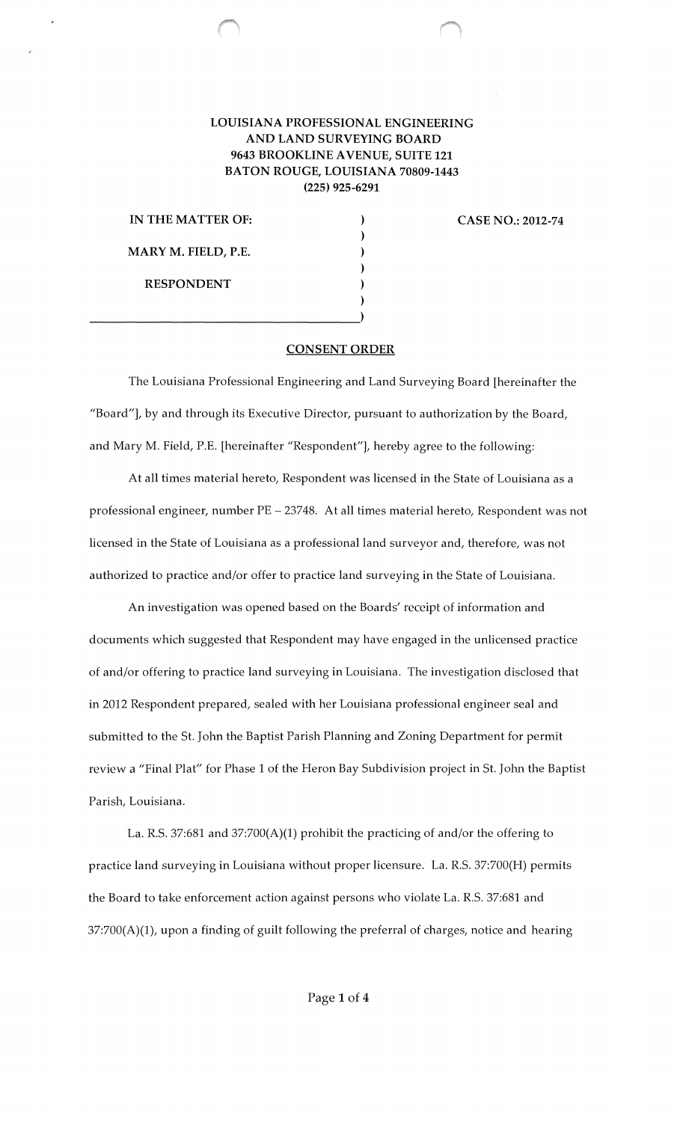## LOUISIANA PROFESSIONAL ENGINEERING AND LAND SURVEYING BOARD 9643 BROOKLINE A VENUE, SUITE 121 BATON ROUGE, LOUISIANA 70809-1443 (225) 925-6291

)

) ) )

IN THE MATTER OF: MARY M. FIELD, P.E. RESPONDENT  $)$ 

CASE NO.: 2012-74

## CONSENT ORDER

The Louisiana Professional Engineering and Land Surveying Board [hereinafter the "Board"], by and through its Executive Director, pursuant to authorization by the Board, and Mary M. Field, P.E. [hereinafter "Respondent"], hereby agree to the following:

At all times material hereto, Respondent was licensed in the State of Louisiana as a professional engineer, number PE - 23748. At all times material hereto, Respondent was not licensed in the State of Louisiana as a professional land surveyor and, therefore, was not authorized to practice and/or offer to practice land surveying in the State of Louisiana.

An investigation was opened based on the Boards' receipt of information and documents which suggested that Respondent may have engaged in the unlicensed practice of and/or offering to practice land surveying in Louisiana. The investigation disclosed that in 2012 Respondent prepared, sealed with her Louisiana professional engineer seal and submitted to the St. John the Baptist Parish Planning and Zoning Department for permit review a "Final Plat" for Phase 1 of the Heron Bay Subdivision project in St. John the Baptist Parish, Louisiana.

La. R.S. 37:681 and 37:700(A)(1) prohibit the practicing of and/or the offering to practice land surveying in Louisiana without proper licensure. La. R.S. 37:700(H) permits the Board to take enforcement action against persons who violate La. R.S. 37:681 and 37:700(A)(1), upon a finding of guilt following the preferral of charges, notice and hearing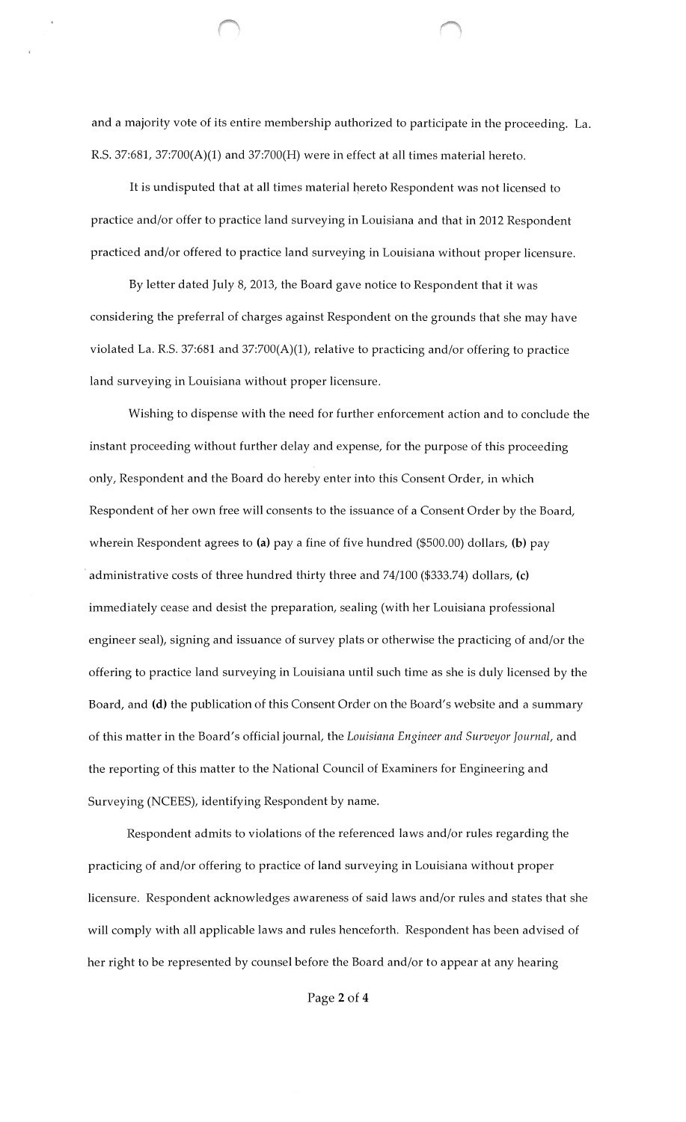and a majority vote of its entire membership authorized to participate in the proceeding. La. R.S. 37:681, 37:700(A)(1) and 37:700(H) were in effect at all times material hereto.

It is undisputed that at all times material hereto Respondent was not licensed to practice and/or offer to practice land surveying in Louisiana and that in 2012 Respondent practiced and/or offered to practice land surveying in Louisiana without proper licensure.

By letter dated July 8, 2013, the Board gave notice to Respondent that it was considering the preferral of charges against Respondent on the grounds that she may have violated La. R.S. 37:681 and 37:700(A)(1), relative to practicing and/or offering to practice land surveying in Louisiana without proper licensure.

Wishing to dispense with the need for further enforcement action and to conclude the instant proceeding without further delay and expense, for the purpose of this proceeding only, Respondent and the Board do hereby enter into this Consent Order, in which Respondent of her own free will consents to the issuance of a Consent Order by the Board, wherein Respondent agrees to (a) pay a fine of five hundred (\$500.00) dollars, (b) pay administrative costs of three hundred thirty three and  $74/100$  (\$333.74) dollars, (c) immediately cease and desist the preparation, sealing (with her Louisiana professional engineer seal), signing and issuance of survey plats or otherwise the practicing of and/or the offering to practice land surveying in Louisiana until such time as she is duly licensed by the Board, and (d) the publication of this Consent Order on the Board's website and a summary of this tnatter in the Board's official journal, the *Louisiana Engineer and Surveyor Journal,* and the reporting of this matter to the National Council of Examiners for Engineering and Surveying (NCEES), identifying Respondent by name.

Respondent admits to violations of the referenced laws and/or rules regarding the practicing of and/or offering to practice of land surveying in Louisiana without proper licensure. Respondent acknowledges awareness of said laws and/or rules and states that she will comply with all applicable laws and rules henceforth. Respondent has been advised of her right to be represented by counsel before the Board and/or to appear at any hearing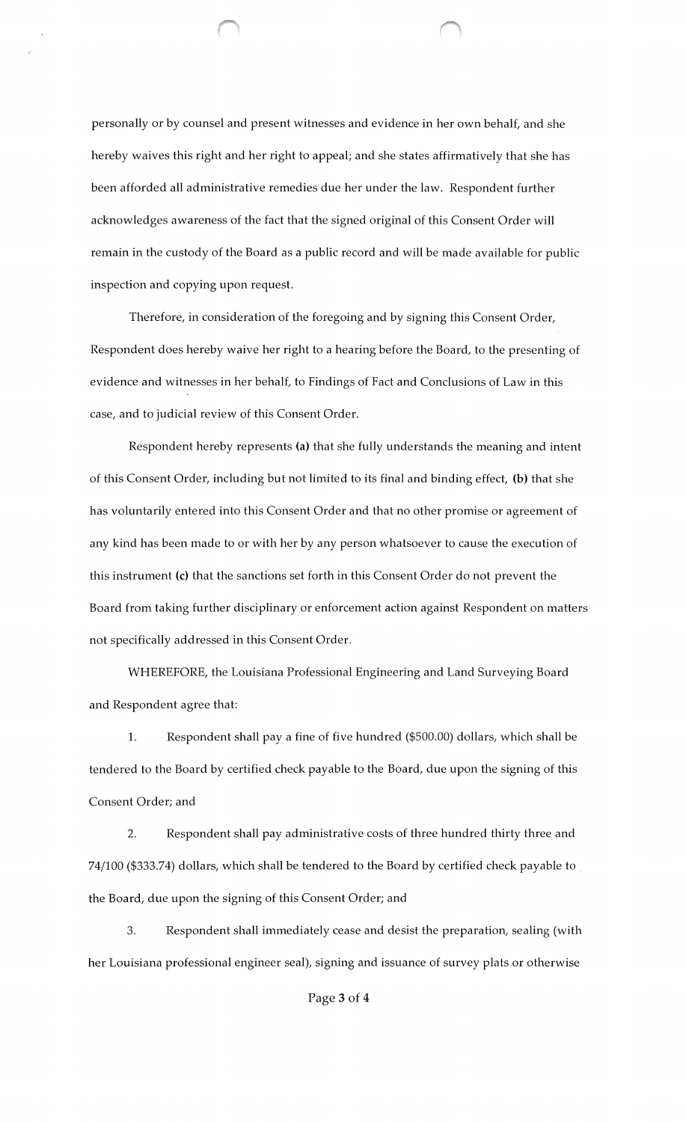personally or by counsel and present witnesses and evidence in her own behalf, and she hereby waives this right and her right to appeal; and she states affirmatively that she has been afforded all administrative remedies due her under the law. Respondent further acknowledges awareness of the fact that the signed original of this Consent Order will remain in the custody of the Board as a public record and will be made available for public inspection and copying upon request.

Therefore, in consideration of the foregoing and by signing this Consent Order, Respondent does hereby waive her right to a hearing before the Board, to the presenting of evidence and witnesses in her behalf, to Findings of Fact and Conclusions of Law in this case, and to judicial review of this Consent Order.

Respondent hereby represents (a) that she fully understands the meaning and intent of this Consent Order, including but not limited to its final and binding effect, (b) that she has voluntarily entered into this Consent Order and that no other promise or agreement of any kind has been made to or with her by any person whatsoever to cause the execution of this instrument (c) that the sanctions set forth in this Consent Order do not prevent the Board from taking further disciplinary or enforcement action against Respondent on matters not specifically addressed in this Consent Order.

WHEREFORE, the Louisiana Professional Engineering and Land Surveying Board and Respondent agree that:

1. Respondent shall pay a fine of five hundred (\$500.00) dollars, which shall be tendered to the Board by certified check payable to the Board, due upon the signing of this Consent Order; and

2. Respondent shall pay administrative costs of three hundred thirty three and 74/100 (\$333.74) dollars, which shall be tendered to the Board by certified check payable to . the Board, due upon the signing of this Consent Order; and

3. Respondent shall immediately cease and desist the preparation, sealing (with her Louisiana professional engineer seal), signing and issuance of survey plats or otherwise